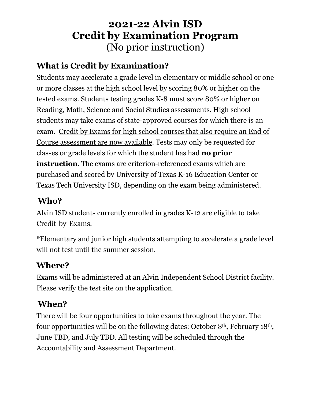# **2021-22 Alvin ISD Credit by Examination Program** (No prior instruction)

### **What is Credit by Examination?**

Students may accelerate a grade level in elementary or middle school or one or more classes at the high school level by scoring 80% or higher on the tested exams. Students testing grades K-8 must score 80% or higher on Reading, Math, Science and Social Studies assessments. High school students may take exams of state-approved courses for which there is an exam. Credit by Exams for high school courses that also require an End of Course assessment are now available. Tests may only be requested for classes or grade levels for which the student has had **no prior instruction**. The exams are criterion-referenced exams which are purchased and scored by University of Texas K-16 Education Center or Texas Tech University ISD, depending on the exam being administered.

#### **Who?**

Alvin ISD students currently enrolled in grades K-12 are eligible to take Credit-by-Exams.

\*Elementary and junior high students attempting to accelerate a grade level will not test until the summer session.

### **Where?**

Exams will be administered at an Alvin Independent School District facility. Please verify the test site on the application.

## **When?**

There will be four opportunities to take exams throughout the year. The four opportunities will be on the following dates: October 8th, February 18th, June TBD, and July TBD. All testing will be scheduled through the Accountability and Assessment Department.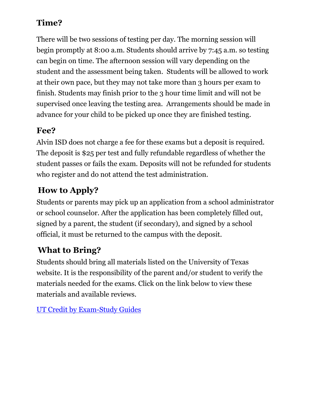## **Time?**

There will be two sessions of testing per day. The morning session will begin promptly at 8:00 a.m. Students should arrive by 7:45 a.m. so testing can begin on time. The afternoon session will vary depending on the student and the assessment being taken. Students will be allowed to work at their own pace, but they may not take more than 3 hours per exam to finish. Students may finish prior to the 3 hour time limit and will not be supervised once leaving the testing area. Arrangements should be made in advance for your child to be picked up once they are finished testing.

#### **Fee?**

Alvin ISD does not charge a fee for these exams but a deposit is required. The deposit is \$25 per test and fully refundable regardless of whether the student passes or fails the exam. Deposits will not be refunded for students who register and do not attend the test administration.

## **How to Apply?**

Students or parents may pick up an application from a school administrator or school counselor. After the application has been completely filled out, signed by a parent, the student (if secondary), and signed by a school official, it must be returned to the campus with the deposit.

## **What to Bring?**

Students should bring all materials listed on the University of Texas website. It is the responsibility of the parent and/or student to verify the materials needed for the exams. Click on the link below to view these materials and available reviews.

[UT Credit by Exam-Study Guides](https://highschool.utexas.edu/cbe_study_guides)